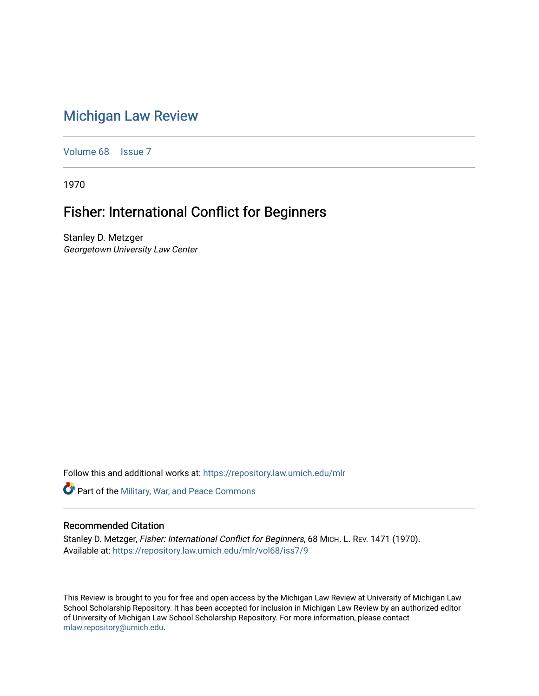## [Michigan Law Review](https://repository.law.umich.edu/mlr)

[Volume 68](https://repository.law.umich.edu/mlr/vol68) | [Issue 7](https://repository.law.umich.edu/mlr/vol68/iss7)

1970

## Fisher: International Conflict for Beginners

Stanley D. Metzger Georgetown University Law Center

Follow this and additional works at: [https://repository.law.umich.edu/mlr](https://repository.law.umich.edu/mlr?utm_source=repository.law.umich.edu%2Fmlr%2Fvol68%2Fiss7%2F9&utm_medium=PDF&utm_campaign=PDFCoverPages) 

**Part of the Military, War, and Peace Commons** 

## Recommended Citation

Stanley D. Metzger, Fisher: International Conflict for Beginners, 68 MICH. L. REV. 1471 (1970). Available at: [https://repository.law.umich.edu/mlr/vol68/iss7/9](https://repository.law.umich.edu/mlr/vol68/iss7/9?utm_source=repository.law.umich.edu%2Fmlr%2Fvol68%2Fiss7%2F9&utm_medium=PDF&utm_campaign=PDFCoverPages)

This Review is brought to you for free and open access by the Michigan Law Review at University of Michigan Law School Scholarship Repository. It has been accepted for inclusion in Michigan Law Review by an authorized editor of University of Michigan Law School Scholarship Repository. For more information, please contact [mlaw.repository@umich.edu.](mailto:mlaw.repository@umich.edu)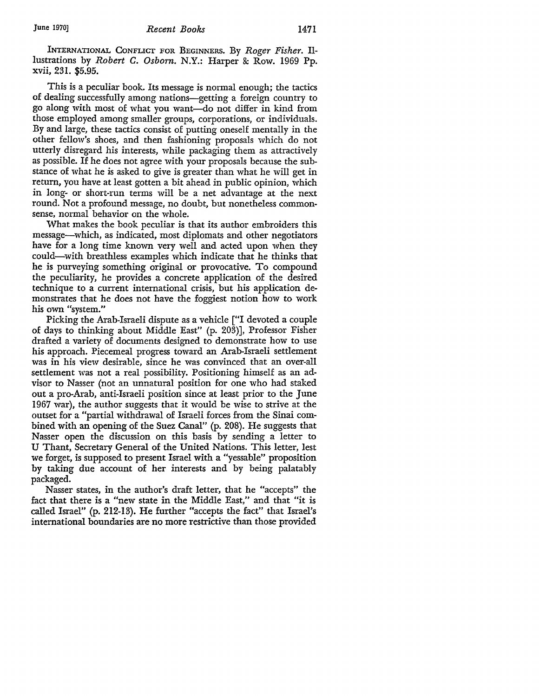INTERNATIONAL CoNFLicr FOR BEGINNERS. By *Roger Fisher.* Illustrations by *Robert* C. *Osborn.* N.Y.: Harper & Row. 1969 Pp. **xvii,** 231. \$5.95.

This is a peculiar book. Its message is normal enough; the tactics of dealing successfully among nations—getting a foreign country to go along with most of what you want-do not differ in kind from those employed among smaller groups, corporations, or individuals. By and large, these tactics consist of putting oneself mentally in the other fellow's shoes, and then fashioning proposals which do not utterly disregard his interests, while packaging them as attractively as possible. If he does not agree with your proposals because the substance of what he is asked to give is greater than what he will get in return, you have at least gotten a bit ahead in public opinion, which in long- or short-run terms will be a net advantage at the next round. Not a profound message, no doubt, but nonetheless commonsense, normal behavior on the whole.

What makes the book peculiar is that its author embroiders this message-which, as indicated, most diplomats and other negotiators have for a long time known very well and acted upon when they could-with breathless examples which indicate that he thinks that he is purveying something original or provocative. To compound the peculiarity, he provides a concrete application of the desired technique to a current international crisis, but his application demonstrates that he does not have the foggiest notion how to work his own "system."

Picking the Arab-Israeli dispute as a vehicle ["I devoted a couple of days to thinking about Middle East" (p. 203)], Professor Fisher drafted a variety of documents designed to demonstrate how to use his approach. Piecemeal progress toward an Arab-Israeli settlement was in his view desirable, since he was convinced that an over-all settlement was not a real possibility. Positioning himself as an advisor to Nasser (not an unnatural position for one who had staked out a pro-Arab, anti-Israeli position since at least prior to the June 1967 war), the author suggests that it would be wise to strive at the outset for a "partial withdrawal of Israeli forces from the Sinai combined with an opening of the Suez Canal" (p. 208). He suggests that Nasser open the discussion on this basis by sending a letter to U Thant, Secretary General of the United Nations. This letter, lest we forget, is supposed to present Israel with a "yessable" proposition by taking due account of her interests and by being palatably packaged.

Nasser states, in the author's draft letter, that he "accepts" the fact that there is a "new state in the Middle East," and that "it is called Israel" (p. 212-13). He further "accepts the fact" that Israel's international boundaries are no more restrictive than those provided